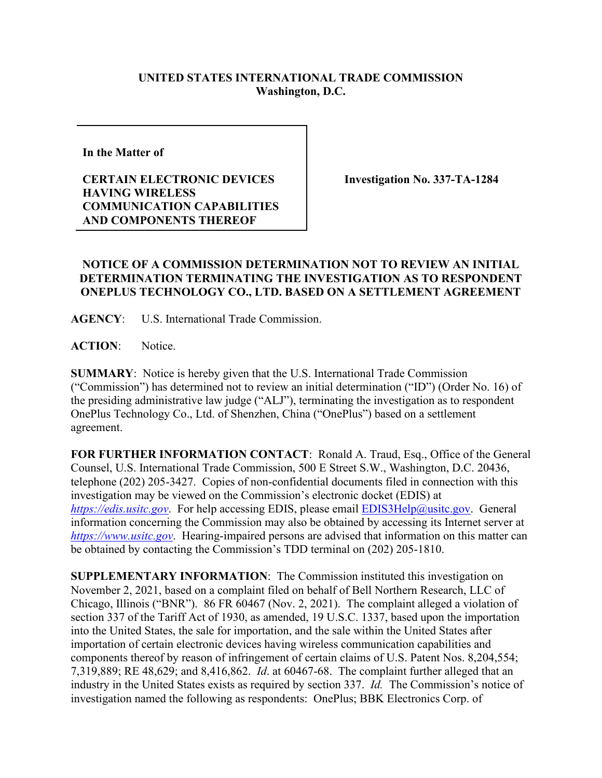## **UNITED STATES INTERNATIONAL TRADE COMMISSION Washington, D.C.**

**In the Matter of** 

## **CERTAIN ELECTRONIC DEVICES HAVING WIRELESS COMMUNICATION CAPABILITIES AND COMPONENTS THEREOF**

**Investigation No. 337-TA-1284**

## **NOTICE OF A COMMISSION DETERMINATION NOT TO REVIEW AN INITIAL DETERMINATION TERMINATING THE INVESTIGATION AS TO RESPONDENT ONEPLUS TECHNOLOGY CO., LTD. BASED ON A SETTLEMENT AGREEMENT**

**AGENCY**: U.S. International Trade Commission.

**ACTION**: Notice.

**SUMMARY**: Notice is hereby given that the U.S. International Trade Commission ("Commission") has determined not to review an initial determination ("ID") (Order No. 16) of the presiding administrative law judge ("ALJ"), terminating the investigation as to respondent OnePlus Technology Co., Ltd. of Shenzhen, China ("OnePlus") based on a settlement agreement.

**FOR FURTHER INFORMATION CONTACT**: Ronald A. Traud, Esq., Office of the General Counsel, U.S. International Trade Commission, 500 E Street S.W., Washington, D.C. 20436, telephone (202) 205-3427. Copies of non-confidential documents filed in connection with this investigation may be viewed on the Commission's electronic docket (EDIS) at *[https://edis.usitc.gov](https://edis.usitc.gov/).* For help accessing EDIS, please email [EDIS3Help@usitc.gov.](mailto:EDIS3Help@usitc.gov) General information concerning the Commission may also be obtained by accessing its Internet server at *[https://www.usitc.gov](https://www.usitc.gov/)*. Hearing-impaired persons are advised that information on this matter can be obtained by contacting the Commission's TDD terminal on (202) 205-1810.

**SUPPLEMENTARY INFORMATION**: The Commission instituted this investigation on November 2, 2021, based on a complaint filed on behalf of Bell Northern Research, LLC of Chicago, Illinois ("BNR"). 86 FR 60467 (Nov. 2, 2021). The complaint alleged a violation of section 337 of the Tariff Act of 1930, as amended, 19 U.S.C. 1337, based upon the importation into the United States, the sale for importation, and the sale within the United States after importation of certain electronic devices having wireless communication capabilities and components thereof by reason of infringement of certain claims of U.S. Patent Nos. 8,204,554; 7,319,889; RE 48,629; and 8,416,862. *Id*. at 60467-68. The complaint further alleged that an industry in the United States exists as required by section 337. *Id.* The Commission's notice of investigation named the following as respondents: OnePlus; BBK Electronics Corp. of